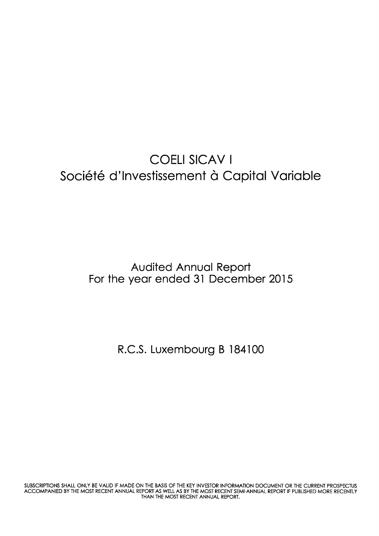## COELI SICAV <sup>I</sup> Société d'Investissement à Capital Variable

Audited Annuol Report For the year ended 31 December 2015

R.C.S. Luxembourg B 184100

SUBSCRIPTIONS SHALL ONLY BE VALID IF MADE ON THE BASIS OF THE KEY INVESTOR INFORMATION DOCUMENT OR THE CURRENT PROSPECTUS ACCOMPANIED BY THE MOST RECENT ANNUAL REPORT AS WELL AS BY THE MOST RECENT SEMI-ANNUAL REPORT IF PUBLISHED MORE RECENTLY THAN THE MOST RECENT ANNUAL REPORT.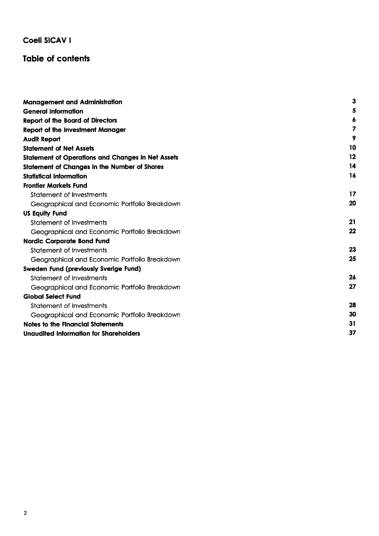#### **Table of contents**

| <b>Management and Administration</b>                     | 3  |
|----------------------------------------------------------|----|
| <b>General Information</b>                               | 5  |
| <b>Report of the Board of Directors</b>                  | 6  |
| <b>Report of the Investment Manager</b>                  | 7  |
| <b>Audit Report</b>                                      | 9  |
| <b>Statement of Net Assets</b>                           | 10 |
| <b>Statement of Operations and Changes in Net Assets</b> | 12 |
| <b>Statement of Changes in the Number of Shares</b>      | 14 |
| <b>Statistical Information</b>                           | 16 |
| <b>Frontier Markets Fund</b>                             |    |
| Statement of Investments                                 | 17 |
| Geographical and Economic Portfolio Breakdown            | 20 |
| <b>US Equity Fund</b>                                    |    |
| Statement of Investments                                 | 21 |
| Geographical and Economic Portfolio Breakdown            | 22 |
| <b>Nordic Corporate Bond Fund</b>                        |    |
| Statement of Investments                                 | 23 |
| Geographical and Economic Portfolio Breakdown            | 25 |
| Sweden Fund (previously Sverige Fund)                    |    |
| Statement of Investments                                 | 26 |
| Geographical and Economic Portfolio Breakdown            | 27 |
| <b>Global Select Fund</b>                                |    |
| Statement of Investments                                 | 28 |
| Geographical and Economic Portfolio Breakdown            | 30 |
| Notes to the Financial Statements                        | 31 |
| Unaudited Information for Shareholders                   | 37 |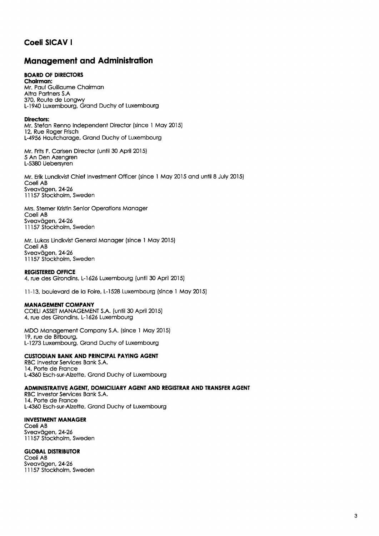#### **Management and Administration**

#### BOARD OF DIRECTORS

Chairman: Mr. Paul Guillaume Chairman Altra Partners S.A. 370, Route de Longwy L- 1940 Luxembourg, Grond Duchy of Luxembourg

#### Directors:

Mr. Stefan Renno Independent Director (since 1 May 2015) 12, Rue Roger Frisch L-4956 Houtchoroge, Grond Duchy of Luxembourg

Mr. Frits F. Corlsen Director (until30 April20l5) 5 An Den Azengren L-5380 Uebersyren

Mr. Erik Lundkvist Chief lnvestment Officer (since I Moy 2015 ond until 8 July 2015) Coeli AB Sveavägen, 24-26 I I157 Stockholm. Sweden

Mrs. Stemer Kristin Senior Operotions Monoger Coeli AB Sveavägen, 24-26 11157 Stockholm, Sweden

Mr. Lukos Lindkvist Generol Monoger (since I Moy 2015) Coeli AB Sveavägen, 24-26 I I157 Stockholm, Sweden

#### REGISTERED OFFICE

4, rue des Girondins, L-1626 Luxembourg (until 30 April 2015)

<sup>I</sup>l-13, boulevord de lo Foire, L-I528 Luxembourg (since I Moy 2015)

#### MANAGEMENT COMPANY

COELI ASSEI MANAGEMENT S.A. (until 30 April 2015) 4, rue des Girondins, L-l626 Luxembourg

MDO Monogement Compony S.A. (since I Moy 2015) 19. rue de Bitbourg, L-1273 Luxembourg, Grand Duchy of Luxembourg

#### **CUSTODIAN BANK AND PRINCIPAL PAYING AGENT**

RBC lnvestor Services Bonk S.A. '14, Porte de Fronce L-4360 Esch-sur-Alzette, Grond Duchy of Luxembourg

ADMINISTRATIVE AGENT, DOMICILIARY AGENT AND REGISTRAR AND TRANSFER AGENT

RBC lnvestor Services Bonk S.A. 14, Porte de Fronce L-4360 Esch-sur-Alzette, Grond Duchy of Luxembourg

#### INVESTMENT MANAGER

Coeli AB Sveavägen, 24-26 I I157 Stockholm. Sweden

#### **GLOBAL DISTRIBUTOR**

Coeli AB Sveavägen, 24-26 I I 157 Stockholm, Sweden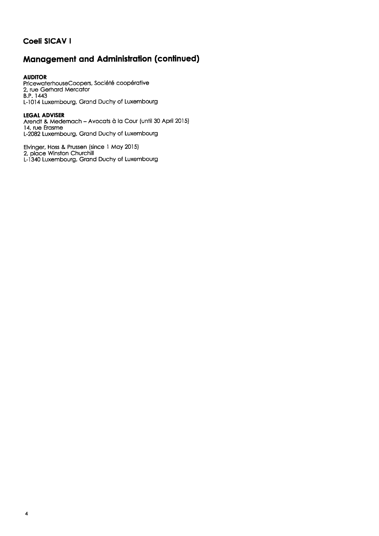## **Management and Administration (continued)**

AUDITOR PricewaterhouseCoopers, Société coopérative 2, rue Gerhord Mercotor B.P. 1443 L-l014 Luxembourg, Grond Duchy of Luxembourg

#### **LEGAL ADVISER**

Arendt & Medernach - Avocats à la Cour (until 30 April 2015) 14, rue Erosme L-2082 Luxembourg, Grand Duchy of Luxembourg

Elvinger, Hoss & Prussen (since I Moy 2015) 2, place Winston Churchil L-I340 Luxembourg, Grond Duchy of Luxembourg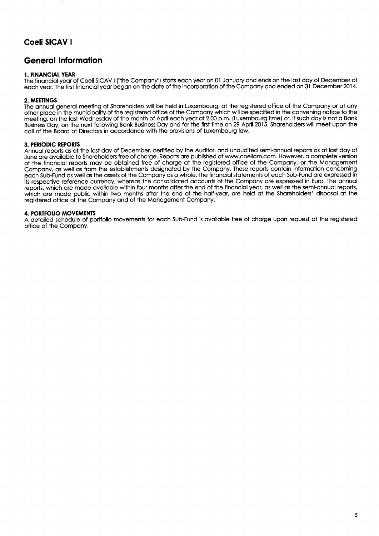#### General Information

#### I. FINANCIAL YEAR

The finonciol yeor of CoeliSICAV | ("the Compony'') storts eoch yeor on 0l Jonuory ond ends on the lost doy of December of each year. The first financial year began on the date of the incorporation of the Company and ended on 31 December 2014.

#### 2. MEEIINGS

The annual general meeting of Shareholders will be held in Luxembourg, at the registered office of the Company or at any other ploce in the municipolity of the registered office of the Compony which will be specified in the convening notice to the meeting, on the lost Wednesdoy of the month of April eoch yeor ot 2.00 p.m. (Luxembourg time) or, if such doy is not o Bonk Business Doy, on ihe next following Bonk Business Doy ond for the first time on 29 April 2015. Shoreholders will meet upon the call of the Board of Directors in accordance with the provisions of Luxembourg law.

#### 3. PERIODIC REPORTS

Annual reports as at the last day of December, certified by the Auditor, and unaudited semi-annual reports as at last day of June are available to Shareholders free of charge. Reports are published at www.coeliam.com. However, a complete version of the finonciol reports moy be obtoined free of chorge of the registered office of the Compony, or the Monogemenf Company, as well as from the establishments designated by the Company. These reports contain information concerning each Sub-Fund as well as the assets of the Company as a whole. The financial statements of each Sub-Fund are expressed in its respective reference cunency, whereos the consolidoted occounts of the Compony ore expressed in Euro. The onnuol reports, which are made available within four months after the end of the financial year, as well as the semi-annual reports, which are made public within two months after the end of the half-year, are held at the Shareholders' disposal at the registered office of the Company and of the Management Company.

#### 4. PORTFOLIO MOVEMENTS

A detailed schedule of portfolio movements for each Sub-Fund is available free of charge upon request at the registered office of the Compony.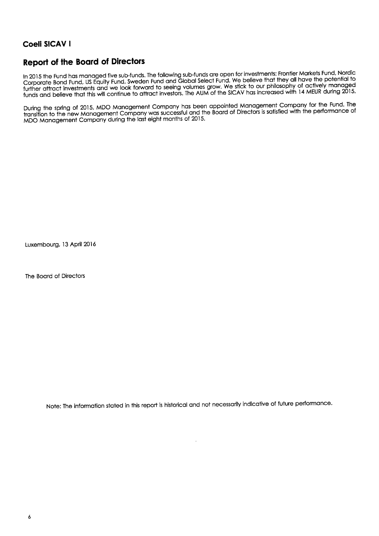#### **Report of the Board of Directors**

In 2015 the Fund has managed five sub-funds. The following sub-funds are open for investments: Frontier Markets Fund, Nordic Corporate Bond Fund, US Equity Fund, Sweden Fund and Global Select Fund. We believe that they all have the potential to further attract investments and we look forward to seeing volumes grow. We stick to our philosophy of actively managed<br>funds and believe that this will continue to attract investors. The AUM of the SICAV has increased with

During the spring of 2015, MDO Management Company has been appointed Management Company for the Fund. The transition to the new Management Company was successful and the Board of Directors is satisfied with the performance of MDO Management Company during the last eight months of 2015.

Luxembourg, 13 April 2016

The Board of Directors

Note: The information stated in this report is historical and not necessarily indicative of future performance.

 $\ddot{\phantom{a}}$  .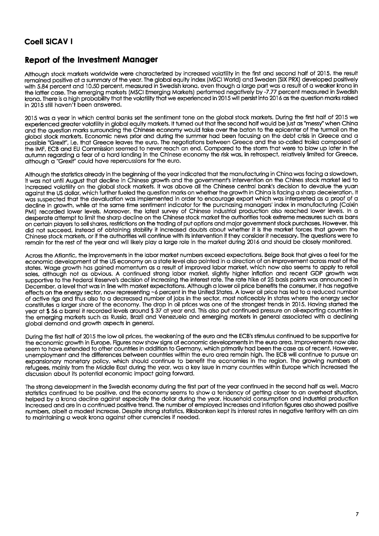#### Report of the Investment Manager

Although stock markets worldwide were characterized by increased volatility in the first and second half of 2015, the result remained positive at a summary of the year. The global equity index (MSCI World) and Sweden (SIX PRX) developed positively with 5.84 percent and 10.50 percent, measured in Swedish krona, even though a large part was a result of a weaker krona in the lotter cose. The emerging morkets (MSCI Emerging Morkets) performed negotively by -7.77 percent meosured in Swedish krona. There is a high probability that the volatility that we experienced in 2015 will persist into 2016 as the question marks raised in 2015 still hoven't been onswered.

2015 was a year in which central banks set the sentiment tone on the global stock markets. During the first half of 2015 we experienced greater volatility in global equity markets. It turned out that the second half would be just as "messy" when China ond the question moks sunounding the Chinese economy would toke over the boton to the epicenter of the turmoil on the global stock markets. Economic news prior and during the summer had been focusing on the debt crisis in Greece and a possible "Grexif', i.e. thot Greece leoves the euro. The negotiotions between Greece ond the so-colled troiko composed of the lMF, ECB ond EU Commission seemed to never reoch on end. Compored to the storm thot were fo blow up loter in the outumn regording o feor of o hord londing in the Chinese economy the risk wos, in retrospect, relotively limited for Greece, olthough o "Grexif'could hove repercussions for the euro.

Although the statistics already in the beginning of the year indicated that the manufacturing in China was facing a slowdown, it was not until August that decline in Chinese growth and the government's intervention on the Chines stock market led to increosed volofility on the globol stock morkets. lt wos obove oll the Chinese centrol bonk's decision to devolue the yuon gaginst the US dollar, which further fueled the question marks on whether the growth in China is facing a sharp deceleration. It was suspected that the devaluation was implemented in order to encourage export which was interpreted as a proof of a decline in growth, while of the some time sentiment indicotor for the purchosing monogers' index in monufocturing (Coixin PMI) recorded lower levels. Moreover, the latest survey of Chinese industrial production also reached lower levels. In a desperote ottempt to limit ihe shorp decline on the Chinese stock morket the outhoriiies took extreme meosures such os bons on certoin ployers to sell shores, restrictions on the troding of put options ond mojor govemment stock purchoses. However, this did not succeed, insieod of obioining stobility it increosed doubts obout whether it is the morket forces thot govern the Chinese stock morkets, or if the outhorities will continue with its intervention if they consider it necessory. The questions were to remain for the rest of the year and will likely play a large role in the market during 2016 and should be closely monitored.

Across the Atlantic, the improvements in the labor market numbers exceed expectations. Beige Book that gives a feel for the economic development of the US economy on a state level also pointed in a direction of an improvement across most of the states. Wage growth has gained momentum as a result of improved labor market, which now also seems to apply to retail sales, although not as obvious. A continued strong labor market, slightly higher inflation and recent GDP growth was supportive to the Federal Reserve's decision of increasing the interest rate. The rate hike of 25 basis points was announced in December, o level thot wos in line with morket expectotions. Although o lower oil price benefits the consumer, it hos negotive effects on the energy sector, now representing -5 percent in the United Stotes. A lower oil price hos led to o reduced number of octive rigs ond thus olso to o decreosed number of jobs in the sector, most noticeobly in stotes where the energy sector constitutes o lorger shore of the economy. The drop in oil prices wos one of the sirongest trends in 2015. Hoving storted the year at \$56 a barrel it recorded levels around \$37 at year end. This also put continued pressure on oil-exporting countries in the emerging morkets such os Russio, Brozil ond Venezuelo ond emerging mokets in generol ossocioted with o declining globol demond ond growth ospects in generol.

During the fint holf of 2015 the low oil prices, the weokening of the euro ond the ECB's stimulus continued to be supportive for the economic growth in Europe. Figures now show signs of economic developments in the euro area. Improvements now also seem to have extended to other countries in addition to Germany, which primarily had been the case as of recent. However, unemployment and the differences between countries within the euro area remain high. The ECB will continue to pursue an expansionary monetary policy, which should continue to benefit the economies in the region. The growing numbers of refugees, moinly from ihe Middle Eost during the yeor, wos o key issue in mony countries within Europe which increosed the discussion about its potential economic impact going forward.

The strong development in the Swedish economy during the first part of the year continued in the second half as well. Macro stotistics continued to be positive, ond the economy seems to show o tendency of getting closer to on overheot situotion, helped by a krona decline against especially the dollar during the year. Household consumption and industrial production increosed ond ore in o conlinued positive trend. The number of employed increoses ond inflotion figures olso showed positive numbers, albeit a modest increase. Despite strong statistics, Riksbanken kept its interest rates in negative territory with an aim to maintaining a weak krona against other currencies if needed.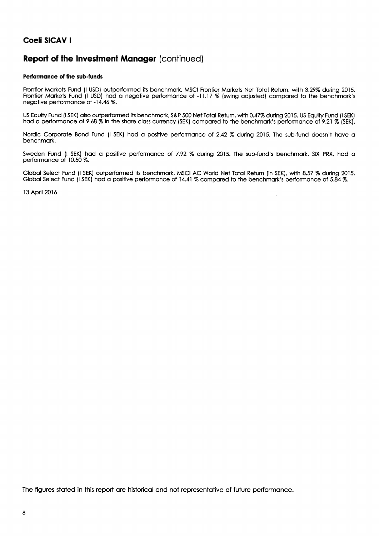## **Report of the Investment Manager (continued)**

#### Performance of the sub-funds

Frontier Markets Fund (I USD) outperformed its benchmark, MSCI Frontier Markets Net Total Return, with 3.29% during 2015.<br>Frontier Markets Fund (I USD) had a negative performance of -11.17 % (swing adjusted) compared to th negative performance of -14.46 %.

US Equity Fund (I SEK) also outperformed its benchmark, S&P 500 Net Total Return, with 0.47% during 2015. US Equity Fund (I SEK) had a performance of 9.68 % in the share class currency (SEK) compared to the benchmark's performance of 9.21 % (SEK).

Nordic Corporate Bond Fund (I SEK) had a positive performance of 2.42 % during 2015. The sub-fund doesn't have a benchmark.

Sweden Fund (I SEK) had a positive performance of 7.92 % during 2015. The sub-fund's benchmark, SIX PRX, had a performance of 10.50 %.

Global Select Fund (I SEK) outperformed its benchmark, MSCI AC World Net Total Return (in SEK), with 8.57 % during 2015. Global Select Fund (I SEK) had a positive performance of 14.41 % compared to the benchmark's performance of 5.84 %.

13 April 2016

The figures stated in this report are historical and not representative of future performance.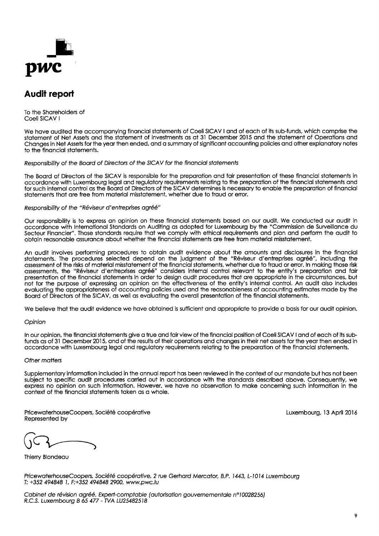

## **Audit report**

To the Shareholders of Coeli SICAV I

We have audited the accompanying financial statements of Coeli SICAV I and of each of its sub-funds, which comprise the statement of Net Assets and the statement of Investments as at 31 December 2015 and the statement of Operations and Changes in Net Assets for the year then ended, and a summary of significant accounting policies and other explanatory notes to the financial statements.

Responsibility of the Board of Directors of the SICAV for the financial statements

The Board of Directors of the SICAV is responsible for the preparation and fair presentation of these financial statements in accordance with Luxembourg legal and regulatory requirements relating to the preparation of the financial statements and for such internal control as the Board of Directors of the SICAV determines is necessary to enable the preparation of financial statements that are free from material misstatement, whether due to fraud or error.

#### Responsibility of the "Réviseur d'entreprises agréé"

Our responsibility is to express an opinion on these financial statements based on our audit. We conducted our audit in accordance with International Standards on Auditing as adopted for Luxembourg by the "Commission de Surveillance du Secteur Financier". Those standards require that we comply with ethical requirements and plan and perform the audit to obtain reasonable assurance about whether the financial statements are free from material misstatement.

An audit involves performing procedures to obtain audit evidence about the amounts and disclosures in the financial statements. The procedures selected depend on the judgment of the "Réviseur d'entreprises agréé", including the assessment of the risks of material misstatement of the financial statements, whether due to fraud or error. In making those risk assessments, the "Réviseur d'entreprises agréé" considers internal control relevant to the entity's preparation and fair presentation of the financial statements in order to design audit procedures that are appropriate in the circumstances, but not for the purpose of expressing an opinion on the effectiveness of the entity's internal control. An audit also includes evaluating the appropriateness of accounting policies used and the reasonableness of accounting estimates made by the Board of Directors of the SICAV, as well as evaluating the overall presentation of the financial statements.

We believe that the audit evidence we have obtained is sufficient and appropriate to provide a basis for our audit opinion.

#### Opinion

In our opinion, the financial statements aive a true and fair view of the financial position of Coeli SICAV I and of each of its subfunds as of 31 December 2015, and of the results of their operations and changes in their net assets for the year then ended in accordance with Luxembourg legal and regulatory requirements relating to the preparation of the financial statements.

#### Other matters

Supplementary information included in the annual report has been reviewed in the context of our mandate but has not been subject to specific audit procedures carried out in accordance with the standards described above. Consequently, we express no opinion on such information. However, we have no observation to make concerning such information in the context of the financial statements taken as a whole.

PricewaterhouseCoopers, Société coopérative Represented by

Luxembourg, 13 April 2016

Thierry Blondeau

PricewaterhouseCoopers, Société coopérative, 2 rue Gerhard Mercator, B.P. 1443, L-1014 Luxembourg T: +352 494848 1, F:+352 494848 2900, www.pwc.lu

Cabinet de révision agréé. Expert-comptable (autorisation gouvernementale n°10028256) R.C.S. Luxembourg B 65 477 - TVA LU25482518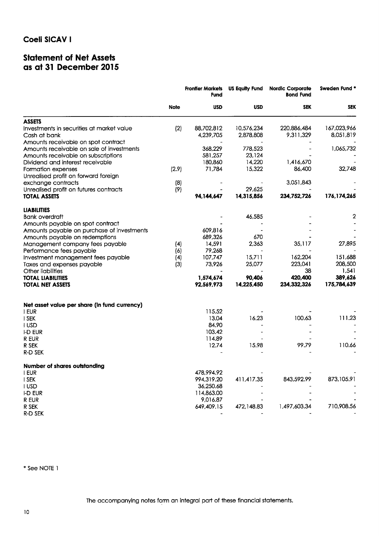### **Statement of Net Assets** as at 31 December 2015

|                                              | <b>Frontier Markets</b><br>Fund |            | <b>US Equity Fund Nordic Corporate</b><br><b>Bond Fund</b> |              | Sweden Fund * |  |
|----------------------------------------------|---------------------------------|------------|------------------------------------------------------------|--------------|---------------|--|
|                                              | <b>Note</b>                     | <b>USD</b> | <b>USD</b>                                                 | <b>SEK</b>   | <b>SEK</b>    |  |
| <b>ASSETS</b>                                |                                 |            |                                                            |              |               |  |
| Investments in securities at market value    | (2)                             | 88,702,812 | 10,576,234                                                 | 220,886,484  | 167,023,966   |  |
| Cash at bank                                 |                                 | 4,239,705  | 2,878,808                                                  | 9,311,329    | 8,051,819     |  |
| Amounts receivable on spot contract          |                                 |            |                                                            |              |               |  |
| Amounts receivable on sale of investments    |                                 | 368,229    | 778,523                                                    |              | 1,065,732     |  |
| Amounts receivable on subscriptions          |                                 | 581,257    | 23,124                                                     |              |               |  |
| Dividend and interest receivable             |                                 | 180,860    | 14,220                                                     | 1,416,670    |               |  |
| Formation expenses                           | (2.9)                           | 71,784     | 15,322                                                     | 86,400       | 32,748        |  |
| Unrealised profit on forward foreign         |                                 |            |                                                            |              |               |  |
| exchange contracts                           | (8)                             |            |                                                            | 3,051,843    |               |  |
| Unrealised profit on futures contracts       | (9)                             |            | 29.625                                                     |              |               |  |
| <b>TOTAL ASSETS</b>                          |                                 | 94,144,647 | 14,315,856                                                 | 234,752,726  | 176, 174, 265 |  |
| <b>LIABILITIES</b>                           |                                 |            |                                                            |              |               |  |
| <b>Bank overdraft</b>                        |                                 |            | 46,585                                                     |              | 2             |  |
| Amounts payable on spot contract             |                                 |            |                                                            |              |               |  |
| Amounts payable on purchase of investments   |                                 | 609,816    |                                                            |              |               |  |
| Amounts payable on redemptions               |                                 | 689,326    | 670                                                        |              |               |  |
| Management company fees payable              | (4)                             | 14,591     | 2,363                                                      | 35,117       | 27,895        |  |
| Performance fees payable                     | (6)                             | 79,268     |                                                            |              |               |  |
| Investment management fees payable           | (4)                             | 107,747    | 15.711                                                     | 162,204      | 151,688       |  |
| Taxes and expenses payable                   | (3)                             | 73,926     | 25,077                                                     | 223,041      | 208,500       |  |
| Other liabilities                            |                                 |            |                                                            | 38           | 1,541         |  |
| <b>TOTAL LIABILITIES</b>                     |                                 | 1,574,674  | 90,406                                                     | 420,400      | 389,626       |  |
| <b>TOTAL NET ASSETS</b>                      |                                 | 92,569,973 | 14,225,450                                                 | 234,332,326  | 175,784,639   |  |
| Net asset value per share (in fund currency) |                                 |            |                                                            |              |               |  |
| i eur                                        |                                 | 115.52     |                                                            |              |               |  |
| I SEK                                        |                                 | 13.04      | 16.23                                                      | 100.63       | 111.23        |  |
| I USD                                        |                                 | 84.90      |                                                            |              |               |  |
| I-D EUR                                      |                                 | 103.42     |                                                            |              |               |  |
| R EUR                                        |                                 | 114.89     |                                                            |              |               |  |
| R SEK                                        |                                 | 12.74      | 15.98                                                      | 99.79        | 110.66        |  |
| R-D SEK                                      |                                 |            |                                                            |              |               |  |
| Number of shares outstanding                 |                                 |            |                                                            |              |               |  |
| i eur                                        |                                 | 478,994.92 |                                                            |              |               |  |
| I SEK                                        |                                 | 994,319.20 | 411,417.35                                                 | 843,592.99   | 873,105.91    |  |
| I USD                                        |                                 | 36,250.68  |                                                            |              |               |  |
| I-D EUR                                      |                                 | 114,863.00 |                                                            |              |               |  |
| R EUR                                        |                                 | 9,016.87   |                                                            |              |               |  |
| R SEK                                        |                                 | 649,409.15 | 472,148.83                                                 | 1,497,603.34 | 710,908.56    |  |
| R-D SEK                                      |                                 |            |                                                            |              |               |  |

\* See NOTE 1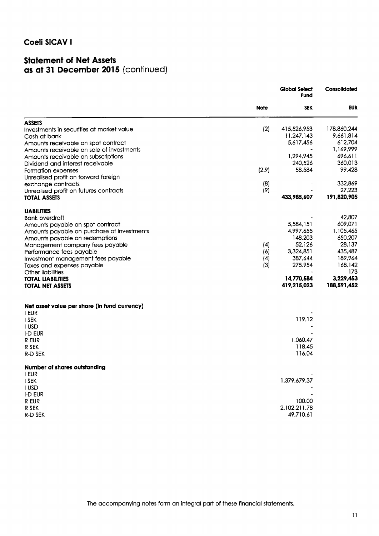### **Statement of Net Assets** as at 31 December 2015 (continued)

|                                              |                    | <b>Global Select</b><br><b>Fund</b> | Consolidated |
|----------------------------------------------|--------------------|-------------------------------------|--------------|
|                                              | <b>Note</b>        | <b>SEK</b>                          | <b>EUR</b>   |
| <b>ASSETS</b>                                |                    |                                     |              |
| Investments in securities at market value    | (2)                | 415,526,953                         | 178,860,244  |
| Cash at bank                                 |                    | 11,247,143                          | 9,661,814    |
| Amounts receivable on spot contract          |                    | 5,617,456                           | 612,704      |
| Amounts receivable on sale of investments    |                    |                                     | 1,169,999    |
| Amounts receivable on subscriptions          |                    | 1,294,945                           | 696,611      |
| Dividend and interest receivable             |                    | 240,526                             | 360,013      |
| Formation expenses                           | (2.9)              | 58,584                              | 99,428       |
| Unrealised profit on forward foreign         |                    |                                     |              |
| exchange contracts                           | (8)                |                                     | 332,869      |
| Unrealised profit on futures contracts       | (9)                |                                     | 27,223       |
| <b>TOTAL ASSETS</b>                          |                    | 433,985,607                         | 191,820,905  |
| <b>LIABILITIES</b>                           |                    |                                     |              |
| <b>Bank overdraft</b>                        |                    |                                     | 42,807       |
| Amounts payable on spot contract             |                    | 5,584,151                           | 609,071      |
| Amounts payable on purchase of investments   |                    | 4,997,655                           | 1,105,465    |
| Amounts payable on redemptions               |                    | 148,203                             | 650,207      |
| Management company fees payable              | (4)                | 52,126                              | 28,137       |
| Performance fees payable                     | (6)                | 3,324,851                           | 435,487      |
| Investment management fees payable           | $\left( 4 \right)$ | 387,644                             | 189.964      |
| Taxes and expenses payable                   | (3)                | 275,954                             | 168,142      |
| Other liabilities                            |                    |                                     | 173          |
| <b>TOTAL LIABILITIES</b>                     |                    | 14,770,584                          | 3,229,453    |
| <b>TOTAL NET ASSETS</b>                      |                    | 419,215,023                         | 188,591,452  |
| Net asset value per share (in fund currency) |                    |                                     |              |
| I EUR                                        |                    |                                     |              |
| I SEK                                        |                    | 119.12                              |              |
| I USD                                        |                    |                                     |              |
| I-D EUR                                      |                    |                                     |              |
| R EUR                                        |                    | 1,060.47                            |              |
| R SEK                                        |                    | 118.45                              |              |
| R-D SEK                                      |                    | 116.04                              |              |
| Number of shares outstanding                 |                    |                                     |              |
| I EUR                                        |                    |                                     |              |
| I SEK                                        |                    | 1,379,679.37                        |              |
| I USD                                        |                    |                                     |              |
| I-D EUR                                      |                    |                                     |              |
| R EUR                                        |                    | 100.00                              |              |
| R SEK                                        |                    | 2,102,211.78                        |              |
| R-D SEK                                      |                    | 49,710.61                           |              |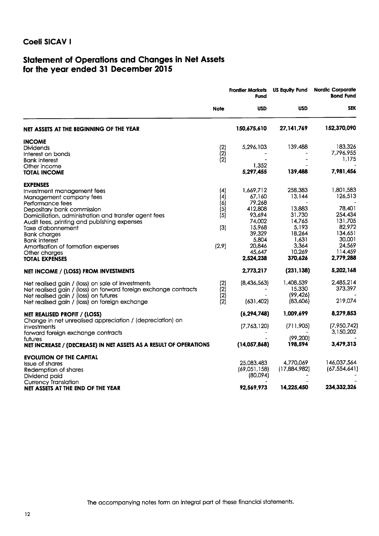# Statement of Operations and Changes in Net Assets<br>for the year ended 31 December 2015

|                                                                                                                                                                                                                  |                                                  | <b>Frontier Markets</b><br><b>Fund</b>          | <b>US Equity Fund</b>                        | <b>Nordic Corporate</b><br><b>Bond Fund</b> |  |
|------------------------------------------------------------------------------------------------------------------------------------------------------------------------------------------------------------------|--------------------------------------------------|-------------------------------------------------|----------------------------------------------|---------------------------------------------|--|
|                                                                                                                                                                                                                  | <b>Note</b>                                      | <b>USD</b>                                      | <b>USD</b>                                   | <b>SEK</b>                                  |  |
| NET ASSETS AT THE BEGINNING OF THE YEAR                                                                                                                                                                          |                                                  | 150,675,610                                     | 27, 141, 769                                 | 152,370,090                                 |  |
| <b>INCOME</b><br><b>Dividends</b><br>Interest on bonds<br><b>Bank interest</b><br>Other income                                                                                                                   | $(2)$<br>$(2)$<br>$(2)$                          | 5,296,103<br>1,352                              | 139,488                                      | 183,326<br>7,796,955<br>1.175               |  |
| <b>TOTAL INCOME</b>                                                                                                                                                                                              |                                                  | 5,297,455                                       | 139,488                                      | 7,981,456                                   |  |
| <b>EXPENSES</b><br>Investment management fees<br>Management company fees<br>Performance fees                                                                                                                     | (4)<br>(4)<br>(6)                                | 1,669,712<br>67,160<br>79,268                   | 258,383<br>13,144<br>13,883                  | 1,801,583<br>126,513<br>78,401              |  |
| Depositary bank commission<br>Domiciliation, administration and transfer agent fees<br>Audit fees, printing and publishing expenses<br>Taxe d'abonnement<br><b>Bank charges</b>                                  | (5)<br>(5)<br>(3)                                | 412,808<br>93,694<br>74,002<br>15,968<br>39,329 | 31,730<br>14.765<br>5.193<br>18,264          | 254,434<br>131,705<br>82,972<br>134,651     |  |
| <b>Bank interest</b><br>Amortisation of formation expenses<br>Other charges<br><b>TOTAL EXPENSES</b>                                                                                                             | (2.9)                                            | 5,804<br>20,846<br>45,647<br>2,524,238          | 1,631<br>3,364<br>10,269<br>370,626          | 30,001<br>24.569<br>114,459<br>2,779,288    |  |
| NET INCOME / (LOSS) FROM INVESTMENTS                                                                                                                                                                             |                                                  | 2,773,217                                       | (231, 138)                                   | 5,202,168                                   |  |
| Net realised gain / (loss) on sale of investments<br>Net realised gain / (loss) on forward foreign exchange contracts<br>Net realised gain / (loss) on futures<br>Net realised gain / (loss) on foreign exchange | (2)<br>$\begin{pmatrix} 2 \ 2 \ 2 \end{pmatrix}$ | (8,436,563)<br>(631, 402)                       | 1,408,539<br>15,330<br>(99, 426)<br>(83,606) | 2.485.214<br>373,397<br>219,074             |  |
| NET REALISED PROFIT / (LOSS)                                                                                                                                                                                     |                                                  | (6, 294, 748)                                   | 1,009,699                                    | 8,279,853                                   |  |
| Change in net unrealised appreciation / (depreciation) on<br>investments<br>forward foreign exchange contracts                                                                                                   |                                                  | (7,763,120)                                     | (711,905)<br>(99, 200)                       | (7,950,742)<br>3,150,202                    |  |
| futures<br>NET INCREASE / (DECREASE) IN NET ASSETS AS A RESULT OF OPERATIONS                                                                                                                                     |                                                  | (14,057,868)                                    | 198,594                                      | 3,479,313                                   |  |
| <b>EVOLUTION OF THE CAPITAL</b><br><b>Issue of shares</b><br>Redemption of shares<br>Dividend paid<br><b>Currency Translation</b>                                                                                |                                                  | 25,083,483<br>(69,051,158)<br>(80,094)          | 4,770,069<br>(17,884,982)                    | 146,037,564<br>(67, 554, 641)               |  |
| NET ASSETS AT THE END OF THE YEAR                                                                                                                                                                                |                                                  | 92.569.973                                      | 14,225,450                                   | 234,332,326                                 |  |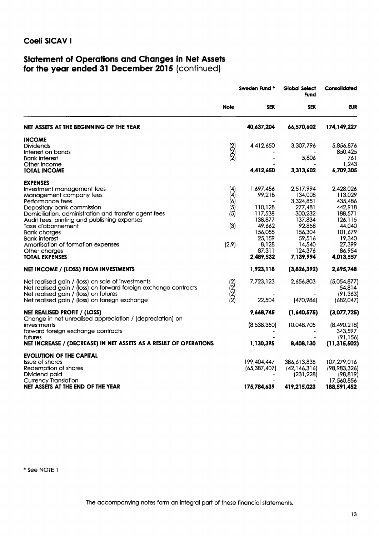## Statement of Operations and Changes in Net Assets<br>for the year ended 31 December 2015 (continued)

|                                                                                                                                                                                                                                                                                                                                                                                  |                                                 | <b>Sweden Fund *</b>                                                                                                | <b>Global Select</b><br><b>Fund</b>                                                                                                 | Consolidated                                                                                                                     |  |
|----------------------------------------------------------------------------------------------------------------------------------------------------------------------------------------------------------------------------------------------------------------------------------------------------------------------------------------------------------------------------------|-------------------------------------------------|---------------------------------------------------------------------------------------------------------------------|-------------------------------------------------------------------------------------------------------------------------------------|----------------------------------------------------------------------------------------------------------------------------------|--|
|                                                                                                                                                                                                                                                                                                                                                                                  | <b>Note</b>                                     | <b>SEK</b>                                                                                                          | <b>SEK</b>                                                                                                                          | <b>EUR</b>                                                                                                                       |  |
| NET ASSETS AT THE BEGINNING OF THE YEAR                                                                                                                                                                                                                                                                                                                                          |                                                 | 40,637,204                                                                                                          | 66,570,602                                                                                                                          | 174,149,227                                                                                                                      |  |
| <b>INCOME</b><br><b>Dividends</b><br>Interest on bonds<br><b>Bank interest</b><br>Other income                                                                                                                                                                                                                                                                                   | $\binom{2}{2}$<br>(2)                           | 4,412,650                                                                                                           | 3,307,796<br>5,806                                                                                                                  | 5,856,876<br>850,425<br>761<br>1,243                                                                                             |  |
| <b>TOTAL INCOME</b>                                                                                                                                                                                                                                                                                                                                                              |                                                 | 4,412,650                                                                                                           | 3,313,602                                                                                                                           | 6,709,305                                                                                                                        |  |
| <b>EXPENSES</b><br>Investment management fees<br>Management company fees<br>Performance fees<br>Depositary bank commission<br>Domiciliation, administration and transfer agent fees<br>Audit fees, printing and publishing expenses<br>Taxe d'abonnement<br><b>Bank charges</b><br>Bank interest<br>Amortisation of formation expenses<br>Other charges<br><b>TOTAL EXPENSES</b> | (4)<br>(4)<br>(6)<br>(5)<br>(5)<br>(3)<br>(2.9) | 1,697,456<br>99,218<br>110,128<br>117,538<br>138,877<br>49,662<br>156,055<br>25,159<br>8,128<br>87,311<br>2.489.532 | 2,517,994<br>134,008<br>3,324,851<br>277,481<br>300,232<br>137,834<br>92,858<br>156,304<br>59,516<br>14,540<br>124,376<br>7,139,994 | 2,428,026<br>113.029<br>435,486<br>442,918<br>188,571<br>126,115<br>44,040<br>101,679<br>19,340<br>27,399<br>86,954<br>4,013,557 |  |
| NET INCOME / (LOSS) FROM INVESTMENTS                                                                                                                                                                                                                                                                                                                                             |                                                 | 1,923,118                                                                                                           | (3,826,392)                                                                                                                         | 2,695,748                                                                                                                        |  |
| Net realised gain / (loss) on sale of investments<br>Net realised gain / (loss) on forward foreign exchange contracts<br>Net realised gain / (loss) on futures<br>Net realised gain / (loss) on foreign exchange                                                                                                                                                                 | (2)<br>(2)<br>(2)<br>(2)                        | 7,723,123<br>22,504                                                                                                 | 2,656,803<br>(470,986)                                                                                                              | (5,054,877)<br>54,814<br>(91, 363)<br>(682, 047)                                                                                 |  |
| NET REALISED PROFIT / (LOSS)<br>Change in net unrealised appreciation / (depreciation) on<br>investments<br>forward foreign exchange contracts<br>futures<br>NET INCREASE / (DECREASE) IN NET ASSETS AS A RESULT OF OPERATIONS                                                                                                                                                   |                                                 | 9,668,745<br>(8,538,350)<br>1,130,395                                                                               | (1,640,575)<br>10,048,705<br>8,408,130                                                                                              | (3,077,725)<br>(8,490,218)<br>343,597<br>(91, 156)<br>(11, 315, 502)                                                             |  |
| <b>EVOLUTION OF THE CAPITAL</b><br><b>Issue of shares</b><br>Redemption of shares<br>Dividend paid<br><b>Currency Translation</b><br>NET ASSETS AT THE END OF THE YEAR                                                                                                                                                                                                           |                                                 | 199,404,447<br>(65, 387, 407)<br>175,784,639                                                                        | 386,613,835<br>(42, 146, 316)<br>(231, 228)<br>419,215,023                                                                          | 107,279,016<br>(98,983,326)<br>(98, 819)<br>17,560,856<br>188,591,452                                                            |  |

\* See NOTE 1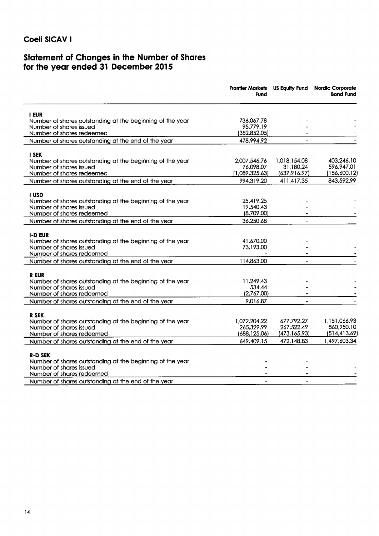## Statement of Changes in the Number of Shares<br>for the year ended 31 December 2015

| <b>I EUR</b><br>736,067.78<br>Number of shares outstanding at the beginning of the year<br>Number of shares issued<br>95,779.19<br>(352, 852.05)<br>Number of shares redeemed<br>478,994.92<br>Number of shares outstanding at the end of the year<br><b>I SEK</b><br>1,018,154.08<br>Number of shares outstanding at the beginning of the year<br>2.007.546.76<br>76,098.07<br>31,180.24<br>596,947.01<br>Number of shares issued<br>(1,089,325.63)<br>(637,916.97)<br>Number of shares redeemed<br>994,319.20<br>843,592.99<br>411,417.35<br>Number of shares outstanding at the end of the year<br>I USD<br>25,419.25<br>Number of shares outstanding at the beginning of the year<br>19,540.43<br>Number of shares issued<br>(8,709.00)<br>Number of shares redeemed<br>36,250.68<br>Number of shares outstanding at the end of the year<br><b>I-D EUR</b><br>41,670.00<br>Number of shares outstanding at the beginning of the year<br>73,193.00<br>Number of shares issued<br>Number of shares redeemed<br>114,863.00<br>Number of shares outstanding at the end of the year<br><b>REUR</b><br>Number of shares outstanding at the beginning of the year<br>11.249.43<br>534.44<br>Number of shares issued<br>Number of shares redeemed<br>(2,767.00)<br>9,016.87<br>Number of shares outstanding at the end of the year<br><b>R SEK</b><br>1,072,204.22<br>677,792.27<br>Number of shares outstanding at the beginning of the year<br>265,329.99<br>267,522.49<br>Number of shares issued<br>(688, 125.06)<br>(473, 165.93)<br>Number of shares redeemed<br>472,148.83<br>1,497,603.34<br>649,409.15<br>Number of shares outstanding at the end of the year<br><b>R-D SEK</b><br>Number of shares outstanding at the beginning of the year<br>Number of shares issued<br>Number of shares redeemed<br>$\blacksquare$<br>$\blacksquare$ |                                                     | Frontier Markets US Equity Fund<br>Fund | <b>Nordic Corporate</b><br><b>Bond Fund</b> |
|-----------------------------------------------------------------------------------------------------------------------------------------------------------------------------------------------------------------------------------------------------------------------------------------------------------------------------------------------------------------------------------------------------------------------------------------------------------------------------------------------------------------------------------------------------------------------------------------------------------------------------------------------------------------------------------------------------------------------------------------------------------------------------------------------------------------------------------------------------------------------------------------------------------------------------------------------------------------------------------------------------------------------------------------------------------------------------------------------------------------------------------------------------------------------------------------------------------------------------------------------------------------------------------------------------------------------------------------------------------------------------------------------------------------------------------------------------------------------------------------------------------------------------------------------------------------------------------------------------------------------------------------------------------------------------------------------------------------------------------------------------------------------------------------------------------------------------------------------|-----------------------------------------------------|-----------------------------------------|---------------------------------------------|
|                                                                                                                                                                                                                                                                                                                                                                                                                                                                                                                                                                                                                                                                                                                                                                                                                                                                                                                                                                                                                                                                                                                                                                                                                                                                                                                                                                                                                                                                                                                                                                                                                                                                                                                                                                                                                                               |                                                     |                                         |                                             |
| 403,246.10<br>(156,600.12)<br>1,151,066.93<br>860,950.10<br>(514, 413.69)                                                                                                                                                                                                                                                                                                                                                                                                                                                                                                                                                                                                                                                                                                                                                                                                                                                                                                                                                                                                                                                                                                                                                                                                                                                                                                                                                                                                                                                                                                                                                                                                                                                                                                                                                                     |                                                     |                                         |                                             |
|                                                                                                                                                                                                                                                                                                                                                                                                                                                                                                                                                                                                                                                                                                                                                                                                                                                                                                                                                                                                                                                                                                                                                                                                                                                                                                                                                                                                                                                                                                                                                                                                                                                                                                                                                                                                                                               |                                                     |                                         |                                             |
|                                                                                                                                                                                                                                                                                                                                                                                                                                                                                                                                                                                                                                                                                                                                                                                                                                                                                                                                                                                                                                                                                                                                                                                                                                                                                                                                                                                                                                                                                                                                                                                                                                                                                                                                                                                                                                               |                                                     |                                         |                                             |
|                                                                                                                                                                                                                                                                                                                                                                                                                                                                                                                                                                                                                                                                                                                                                                                                                                                                                                                                                                                                                                                                                                                                                                                                                                                                                                                                                                                                                                                                                                                                                                                                                                                                                                                                                                                                                                               |                                                     |                                         |                                             |
|                                                                                                                                                                                                                                                                                                                                                                                                                                                                                                                                                                                                                                                                                                                                                                                                                                                                                                                                                                                                                                                                                                                                                                                                                                                                                                                                                                                                                                                                                                                                                                                                                                                                                                                                                                                                                                               |                                                     |                                         |                                             |
|                                                                                                                                                                                                                                                                                                                                                                                                                                                                                                                                                                                                                                                                                                                                                                                                                                                                                                                                                                                                                                                                                                                                                                                                                                                                                                                                                                                                                                                                                                                                                                                                                                                                                                                                                                                                                                               |                                                     |                                         |                                             |
|                                                                                                                                                                                                                                                                                                                                                                                                                                                                                                                                                                                                                                                                                                                                                                                                                                                                                                                                                                                                                                                                                                                                                                                                                                                                                                                                                                                                                                                                                                                                                                                                                                                                                                                                                                                                                                               |                                                     |                                         |                                             |
|                                                                                                                                                                                                                                                                                                                                                                                                                                                                                                                                                                                                                                                                                                                                                                                                                                                                                                                                                                                                                                                                                                                                                                                                                                                                                                                                                                                                                                                                                                                                                                                                                                                                                                                                                                                                                                               |                                                     |                                         |                                             |
|                                                                                                                                                                                                                                                                                                                                                                                                                                                                                                                                                                                                                                                                                                                                                                                                                                                                                                                                                                                                                                                                                                                                                                                                                                                                                                                                                                                                                                                                                                                                                                                                                                                                                                                                                                                                                                               |                                                     |                                         |                                             |
|                                                                                                                                                                                                                                                                                                                                                                                                                                                                                                                                                                                                                                                                                                                                                                                                                                                                                                                                                                                                                                                                                                                                                                                                                                                                                                                                                                                                                                                                                                                                                                                                                                                                                                                                                                                                                                               |                                                     |                                         |                                             |
|                                                                                                                                                                                                                                                                                                                                                                                                                                                                                                                                                                                                                                                                                                                                                                                                                                                                                                                                                                                                                                                                                                                                                                                                                                                                                                                                                                                                                                                                                                                                                                                                                                                                                                                                                                                                                                               |                                                     |                                         |                                             |
|                                                                                                                                                                                                                                                                                                                                                                                                                                                                                                                                                                                                                                                                                                                                                                                                                                                                                                                                                                                                                                                                                                                                                                                                                                                                                                                                                                                                                                                                                                                                                                                                                                                                                                                                                                                                                                               |                                                     |                                         |                                             |
|                                                                                                                                                                                                                                                                                                                                                                                                                                                                                                                                                                                                                                                                                                                                                                                                                                                                                                                                                                                                                                                                                                                                                                                                                                                                                                                                                                                                                                                                                                                                                                                                                                                                                                                                                                                                                                               |                                                     |                                         |                                             |
|                                                                                                                                                                                                                                                                                                                                                                                                                                                                                                                                                                                                                                                                                                                                                                                                                                                                                                                                                                                                                                                                                                                                                                                                                                                                                                                                                                                                                                                                                                                                                                                                                                                                                                                                                                                                                                               |                                                     |                                         |                                             |
|                                                                                                                                                                                                                                                                                                                                                                                                                                                                                                                                                                                                                                                                                                                                                                                                                                                                                                                                                                                                                                                                                                                                                                                                                                                                                                                                                                                                                                                                                                                                                                                                                                                                                                                                                                                                                                               |                                                     |                                         |                                             |
|                                                                                                                                                                                                                                                                                                                                                                                                                                                                                                                                                                                                                                                                                                                                                                                                                                                                                                                                                                                                                                                                                                                                                                                                                                                                                                                                                                                                                                                                                                                                                                                                                                                                                                                                                                                                                                               |                                                     |                                         |                                             |
|                                                                                                                                                                                                                                                                                                                                                                                                                                                                                                                                                                                                                                                                                                                                                                                                                                                                                                                                                                                                                                                                                                                                                                                                                                                                                                                                                                                                                                                                                                                                                                                                                                                                                                                                                                                                                                               |                                                     |                                         |                                             |
|                                                                                                                                                                                                                                                                                                                                                                                                                                                                                                                                                                                                                                                                                                                                                                                                                                                                                                                                                                                                                                                                                                                                                                                                                                                                                                                                                                                                                                                                                                                                                                                                                                                                                                                                                                                                                                               |                                                     |                                         |                                             |
|                                                                                                                                                                                                                                                                                                                                                                                                                                                                                                                                                                                                                                                                                                                                                                                                                                                                                                                                                                                                                                                                                                                                                                                                                                                                                                                                                                                                                                                                                                                                                                                                                                                                                                                                                                                                                                               |                                                     |                                         |                                             |
|                                                                                                                                                                                                                                                                                                                                                                                                                                                                                                                                                                                                                                                                                                                                                                                                                                                                                                                                                                                                                                                                                                                                                                                                                                                                                                                                                                                                                                                                                                                                                                                                                                                                                                                                                                                                                                               |                                                     |                                         |                                             |
|                                                                                                                                                                                                                                                                                                                                                                                                                                                                                                                                                                                                                                                                                                                                                                                                                                                                                                                                                                                                                                                                                                                                                                                                                                                                                                                                                                                                                                                                                                                                                                                                                                                                                                                                                                                                                                               |                                                     |                                         |                                             |
|                                                                                                                                                                                                                                                                                                                                                                                                                                                                                                                                                                                                                                                                                                                                                                                                                                                                                                                                                                                                                                                                                                                                                                                                                                                                                                                                                                                                                                                                                                                                                                                                                                                                                                                                                                                                                                               |                                                     |                                         |                                             |
|                                                                                                                                                                                                                                                                                                                                                                                                                                                                                                                                                                                                                                                                                                                                                                                                                                                                                                                                                                                                                                                                                                                                                                                                                                                                                                                                                                                                                                                                                                                                                                                                                                                                                                                                                                                                                                               |                                                     |                                         |                                             |
|                                                                                                                                                                                                                                                                                                                                                                                                                                                                                                                                                                                                                                                                                                                                                                                                                                                                                                                                                                                                                                                                                                                                                                                                                                                                                                                                                                                                                                                                                                                                                                                                                                                                                                                                                                                                                                               |                                                     |                                         |                                             |
|                                                                                                                                                                                                                                                                                                                                                                                                                                                                                                                                                                                                                                                                                                                                                                                                                                                                                                                                                                                                                                                                                                                                                                                                                                                                                                                                                                                                                                                                                                                                                                                                                                                                                                                                                                                                                                               |                                                     |                                         |                                             |
|                                                                                                                                                                                                                                                                                                                                                                                                                                                                                                                                                                                                                                                                                                                                                                                                                                                                                                                                                                                                                                                                                                                                                                                                                                                                                                                                                                                                                                                                                                                                                                                                                                                                                                                                                                                                                                               |                                                     |                                         |                                             |
|                                                                                                                                                                                                                                                                                                                                                                                                                                                                                                                                                                                                                                                                                                                                                                                                                                                                                                                                                                                                                                                                                                                                                                                                                                                                                                                                                                                                                                                                                                                                                                                                                                                                                                                                                                                                                                               |                                                     |                                         |                                             |
|                                                                                                                                                                                                                                                                                                                                                                                                                                                                                                                                                                                                                                                                                                                                                                                                                                                                                                                                                                                                                                                                                                                                                                                                                                                                                                                                                                                                                                                                                                                                                                                                                                                                                                                                                                                                                                               |                                                     |                                         |                                             |
|                                                                                                                                                                                                                                                                                                                                                                                                                                                                                                                                                                                                                                                                                                                                                                                                                                                                                                                                                                                                                                                                                                                                                                                                                                                                                                                                                                                                                                                                                                                                                                                                                                                                                                                                                                                                                                               |                                                     |                                         |                                             |
|                                                                                                                                                                                                                                                                                                                                                                                                                                                                                                                                                                                                                                                                                                                                                                                                                                                                                                                                                                                                                                                                                                                                                                                                                                                                                                                                                                                                                                                                                                                                                                                                                                                                                                                                                                                                                                               |                                                     |                                         |                                             |
|                                                                                                                                                                                                                                                                                                                                                                                                                                                                                                                                                                                                                                                                                                                                                                                                                                                                                                                                                                                                                                                                                                                                                                                                                                                                                                                                                                                                                                                                                                                                                                                                                                                                                                                                                                                                                                               |                                                     |                                         |                                             |
|                                                                                                                                                                                                                                                                                                                                                                                                                                                                                                                                                                                                                                                                                                                                                                                                                                                                                                                                                                                                                                                                                                                                                                                                                                                                                                                                                                                                                                                                                                                                                                                                                                                                                                                                                                                                                                               |                                                     |                                         |                                             |
|                                                                                                                                                                                                                                                                                                                                                                                                                                                                                                                                                                                                                                                                                                                                                                                                                                                                                                                                                                                                                                                                                                                                                                                                                                                                                                                                                                                                                                                                                                                                                                                                                                                                                                                                                                                                                                               | Number of shares outstanding at the end of the year |                                         |                                             |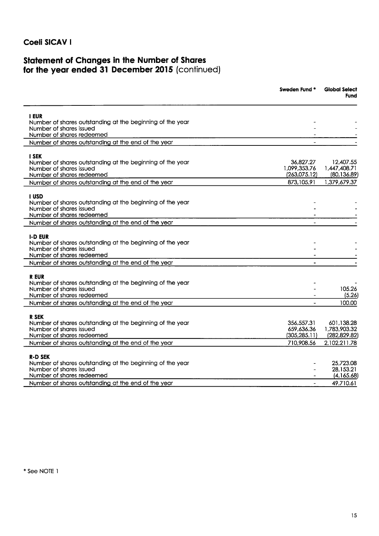# Statement of Changes in the Number of Shares<br>for the year ended 31 December 2015 (continued)

|                                                                                      | <b>Sweden Fund *</b>         | <b>Global Select</b><br>Fund |
|--------------------------------------------------------------------------------------|------------------------------|------------------------------|
| <b>I EUR</b>                                                                         |                              |                              |
| Number of shares outstanding at the beginning of the year                            |                              |                              |
| Number of shares issued<br>Number of shares redeemed                                 |                              |                              |
| Number of shares outstanding at the end of the year                                  |                              |                              |
|                                                                                      |                              |                              |
| <b>I SEK</b>                                                                         |                              |                              |
| Number of shares outstanding at the beginning of the year                            | 36,827.27                    | 12.407.55                    |
| Number of shares issued<br>Number of shares redeemed                                 | 1,099,353.76<br>(263,075.12) | 1,447,408.71<br>(80, 136.89) |
| Number of shares outstanding at the end of the year                                  | 873,105.91                   | 1,379,679.37                 |
|                                                                                      |                              |                              |
| <b>I</b> USD                                                                         |                              |                              |
| Number of shares outstanding at the beginning of the year<br>Number of shares issued |                              |                              |
| Number of shares redeemed                                                            |                              |                              |
| Number of shares outstanding at the end of the year                                  |                              |                              |
|                                                                                      |                              |                              |
| <b>I-D EUR</b>                                                                       |                              |                              |
| Number of shares outstanding at the beginning of the year<br>Number of shares issued |                              |                              |
| Number of shares redeemed                                                            |                              |                              |
| Number of shares outstanding at the end of the year                                  |                              |                              |
|                                                                                      |                              |                              |
| <b>REUR</b>                                                                          |                              |                              |
| Number of shares outstanding at the beginning of the year<br>Number of shares issued |                              | 105.26                       |
| Number of shares redeemed                                                            |                              | (5.26)                       |
| Number of shares outstanding at the end of the year                                  | $\sim$                       | 100.00                       |
|                                                                                      |                              |                              |
| R SEK                                                                                |                              |                              |
| Number of shares outstanding at the beginning of the year<br>Number of shares issued | 356,557.31<br>659,636.36     | 601,138.28<br>1,783,903.32   |
| Number of shares redeemed                                                            | (305, 285.11)                | (282,829.82)                 |
| Number of shares outstanding at the end of the year                                  | 710,908.56                   | 2,102,211.78                 |
|                                                                                      |                              |                              |
| <b>R-D SEK</b><br>Number of shares outstanding at the beginning of the year          |                              | 25,723.08                    |
| Number of shares issued                                                              |                              | 28,153.21                    |
| Number of shares redeemed                                                            | $\overline{\phantom{a}}$     | (4, 165.68)                  |
| Number of shares outstanding at the end of the year                                  | $\blacksquare$               | 49,710.61                    |
|                                                                                      |                              |                              |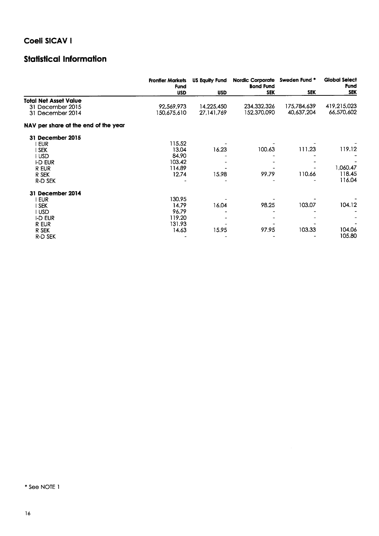## **Statistical Information**

|                                      | <b>Frontier Markets</b><br><b>Fund</b> | US Equity Fund | <b>Nordic Corporate</b><br><b>Bond Fund</b> | Sweden Fund * | <b>Global Select</b><br><b>Fund</b> |
|--------------------------------------|----------------------------------------|----------------|---------------------------------------------|---------------|-------------------------------------|
|                                      | <b>USD</b>                             | <b>USD</b>     | <b>SEK</b>                                  | <b>SEK</b>    | <b>SEK</b>                          |
| <b>Total Net Asset Value</b>         |                                        |                |                                             |               |                                     |
| 31 December 2015                     | 92,569,973                             | 14,225,450     | 234,332,326                                 | 175,784,639   | 419,215,023                         |
| 31 December 2014                     | 150,675,610                            | 27, 141, 769   | 152,370,090                                 | 40,637,204    | 66,570,602                          |
| NAV per share at the end of the year |                                        |                |                                             |               |                                     |
| 31 December 2015                     |                                        |                |                                             |               |                                     |
| <b>EUR</b>                           | 115.52                                 |                |                                             |               |                                     |
| I SEK                                | 13.04                                  | 16.23          | 100.63                                      | 111.23        | 119.12                              |
| I USD                                | 84.90                                  |                |                                             |               |                                     |
| <b>I-D EUR</b>                       | 103.42                                 |                |                                             |               |                                     |
| R EUR                                | 114.89                                 |                |                                             |               | 1,060.47                            |
| R SEK                                | 12.74                                  | 15.98          | 99.79                                       | 110.66        | 118.45                              |
| R-D SEK                              |                                        |                |                                             |               | 116.04                              |
| 31 December 2014                     |                                        |                |                                             |               |                                     |
| i eur                                | 130.95                                 |                |                                             |               |                                     |
| <b>SEK</b>                           | 14.79                                  | 16.04          | 98.25                                       | 103.07        | 104.12                              |
| I USD                                | 96.79                                  |                |                                             |               |                                     |
| I-D EUR                              | 119.20                                 |                |                                             |               |                                     |
| R EUR                                | 131.93                                 |                |                                             |               |                                     |
| R SEK                                | 14.63                                  | 15.95          | 97.95                                       | 103.33        | 104.06                              |
| R-D SEK                              |                                        |                |                                             |               | 105.80                              |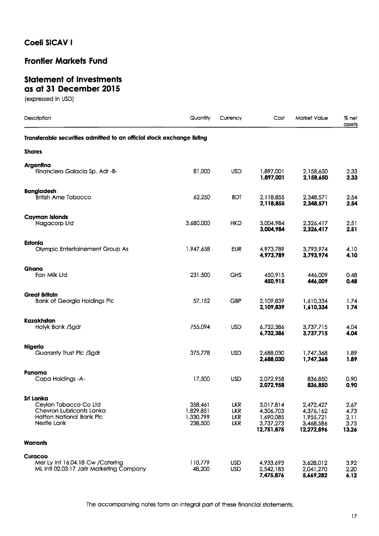## **Frontier Markets Fund**

#### **Statement of Investments** as at 31 December 2015

(expressed in USD)

| Description                                                                                                      | Quantity                                     | Currency                                             | Cost                                                           | Market Value                                                   | % net<br>assets                       |
|------------------------------------------------------------------------------------------------------------------|----------------------------------------------|------------------------------------------------------|----------------------------------------------------------------|----------------------------------------------------------------|---------------------------------------|
| Transferable securities admitted to an official stock exchange listing                                           |                                              |                                                      |                                                                |                                                                |                                       |
| <b>Shares</b>                                                                                                    |                                              |                                                      |                                                                |                                                                |                                       |
| Argentina<br>Financiero Galacia Sp. Adr -B-                                                                      | 81,000                                       | <b>USD</b>                                           | 1,897,001<br>1,897,001                                         | 2,158,650<br>2,158,650                                         | 2.33<br>2.33                          |
| <b>Bangladesh</b><br><b>British Ame Tobacco</b>                                                                  | 62,250                                       | <b>BDT</b>                                           | 2,118,855<br>2,118,855                                         | 2.348.571<br>2,348,571                                         | 2.54<br>2.54                          |
| <b>Cayman Islands</b><br>Nagacorp Ltd                                                                            | 3,680,000                                    | <b>HKD</b>                                           | 3,004,984<br>3,004,984                                         | 2,326,417<br>2,326,417                                         | 2.51<br>2.51                          |
| Estonia<br><b>Olympic Entertainement Group As</b>                                                                | 1,947,658                                    | <b>EUR</b>                                           | 4,973,789<br>4,973,789                                         | 3,793,974<br>3,793,974                                         | 4.10<br>4.10                          |
| Ghana<br>Fan Milk Ltd                                                                                            | 231,500                                      | <b>GHS</b>                                           | 450,915<br>450,915                                             | 446,009<br>446,009                                             | 0.48<br>0.48                          |
| <b>Great Britain</b><br><b>Bank of Georgia Holdings Plc</b>                                                      | 57,152                                       | <b>GBP</b>                                           | 2,109,839<br>2,109,839                                         | 1,610,334<br>1,610,334                                         | 1,74<br>1.74                          |
| Kazakhstan<br>Halyk Bank /Sgdr                                                                                   | 755,094                                      | <b>USD</b>                                           | 6,732,386<br>6,732,386                                         | 3,737,715<br>3,737,715                                         | 4.04<br>4.04                          |
| <b>Nigeria</b><br>Guaranty Trust Plc /Sgdr                                                                       | 375,778                                      | <b>USD</b>                                           | 2,688,030<br>2,688,030                                         | 1,747,368<br>1,747,368                                         | 1.89<br>1.89                          |
| Panama<br>Copa Holdings - A-                                                                                     | 17,500                                       | <b>USD</b>                                           | 2,072,958<br>2,072,958                                         | 836,850<br>836,850                                             | 0.90<br>0.90                          |
| Sri Lanka<br>Ceylon Tobacco Co Ltd<br>Chevron Lubricants Lanka<br><b>Hatton National Bank Plc</b><br>Nestle Lank | 358,461<br>1,829,851<br>1,330,799<br>238,500 | <b>LKR</b><br><b>LKR</b><br><b>LKR</b><br><b>LKR</b> | 3,017,814<br>4,306,703<br>1,690,085<br>3,737,273<br>12,751,875 | 2,472,427<br>4,376,162<br>1,955,721<br>3,468,586<br>12,272,896 | 2.67<br>4.73<br>2.11<br>3.75<br>13.26 |
| <b>Warrants</b>                                                                                                  |                                              |                                                      |                                                                |                                                                |                                       |
| Curacao<br>Mer Ly Int 16.04.18 Cw / Catering<br>ML Intl 02.03.17 Jarir Marketing Company                         | 110,779<br>48,200                            | <b>USD</b><br><b>USD</b>                             | 4,933,693<br>2,542,183<br>7,475,876                            | 3,628,012<br>2,041,270<br>5,669,282                            | 3.92<br>2.20<br>6.12                  |

 $17$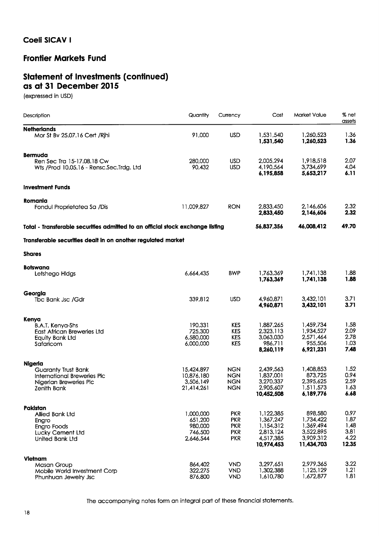#### **Frontier Markets Fund**

## Statement of Investments (continued)<br>as at 31 December 2015

(expressed in USD)

| Description                                                                                                  | Quantity                                                | Currency                                                           | Cost                                                                        | Market Value                                                              | % net<br>assets                               |
|--------------------------------------------------------------------------------------------------------------|---------------------------------------------------------|--------------------------------------------------------------------|-----------------------------------------------------------------------------|---------------------------------------------------------------------------|-----------------------------------------------|
| <b>Netherlands</b><br>Mor St Bv 25.07.16 Cert / Rjhi                                                         | 91,000                                                  | <b>USD</b>                                                         | 1,531,540<br>1.531.540                                                      | 1,260,523<br>1,260,523                                                    | 1.36<br>1.36                                  |
| <b>Bermuda</b>                                                                                               |                                                         |                                                                    |                                                                             |                                                                           |                                               |
| Ren Sec Tra 15-17.08.18 Cw<br>Wts /Prod 10.05.16 - Rensc.Sec.Trdg. Ltd                                       | 280,000<br>90,432                                       | <b>USD</b><br><b>USD</b>                                           | 2,005,294<br>4,190,564<br>6,195,858                                         | 1,918,518<br>3,734,699<br>5,653,217                                       | 2.07<br>4.04<br>6.11                          |
| <b>Investment Funds</b>                                                                                      |                                                         |                                                                    |                                                                             |                                                                           |                                               |
| Romania<br>Fondul Proprietatea Sa /Dis                                                                       | 11,009,827                                              | <b>RON</b>                                                         | 2,833,450<br>2,833,450                                                      | 2,146,606<br>2,146,606                                                    | 2.32<br>2.32                                  |
| Total - Transferable securities admitted to an official stock exchange listing                               |                                                         |                                                                    | 56,837,356                                                                  | 46,008,412                                                                | 49.70                                         |
| Transferable securities dealt in on another regulated market                                                 |                                                         |                                                                    |                                                                             |                                                                           |                                               |
| <b>Shares</b>                                                                                                |                                                         |                                                                    |                                                                             |                                                                           |                                               |
|                                                                                                              |                                                         |                                                                    |                                                                             |                                                                           |                                               |
| Botswana<br>Letshego Hidgs                                                                                   | 6,664,435                                               | <b>BWP</b>                                                         | 1,763,369<br>1,763,369                                                      | 1,741,138<br>1,741,138                                                    | 1.88<br>1.88                                  |
| Georgia<br>Tbc Bank Jsc /Gdr                                                                                 | 339,812                                                 | <b>USD</b>                                                         | 4,960,871<br>4,960,871                                                      | 3,432,101<br>3,432,101                                                    | 3.71<br>3.71                                  |
|                                                                                                              |                                                         |                                                                    |                                                                             |                                                                           |                                               |
| Kenya<br><b>B.A.T. Kenya-Shs</b><br><b>East African Breweries Ltd</b><br><b>Equity Bank Ltd</b><br>Safaricom | 190,331<br>725,300<br>6,580,000<br>6,000,000            | <b>KES</b><br><b>KES</b><br><b>KES</b><br><b>KES</b>               | 1,887,265<br>2,323,113<br>3,063,030<br>986,711<br>8,260,119                 | 1,459,734<br>1,934,527<br>2,571,464<br>955,506<br>6,921,231               | 1.58<br>2.09<br>2.78<br>1.03<br>7.48          |
| <b>Nigeria</b>                                                                                               |                                                         |                                                                    |                                                                             |                                                                           |                                               |
| <b>Guaranty Trust Bank</b><br><b>International Breweries Plc</b><br>Nigerian Breweries Plc<br>Zenith Bank    | 15,424,897<br>10,876,180<br>3,506,149<br>21,414,261     | <b>NGN</b><br><b>NGN</b><br><b>NGN</b><br><b>NGN</b>               | 2,439,563<br>1,837,001<br>3,270,337<br>2,905,607<br>10,452,508              | 1,408,853<br>873,725<br>2,395,625<br>1,511,573<br>6,189,776               | 1.52<br>0.94<br>2.59<br>1.63<br>6.68          |
| Pakistan                                                                                                     |                                                         |                                                                    |                                                                             |                                                                           |                                               |
| Allied Bank Ltd<br>Engro<br>Engro Foods<br>Lucky Cement Ltd<br><b>United Bank Ltd</b>                        | 1,000,000<br>651,200<br>980,000<br>746,500<br>2,646,544 | <b>PKR</b><br><b>PKR</b><br><b>PKR</b><br><b>PKR</b><br><b>PKR</b> | 1,122,385<br>1,367,247<br>1,154,312<br>2,813,124<br>4,517,385<br>10,974,453 | 898,580<br>1,734,422<br>1.369.494<br>3,522,895<br>3,909,312<br>11,434,703 | 0.97<br>1,87<br>1.48<br>3.81<br>4.22<br>12.35 |
| Vietnam                                                                                                      |                                                         |                                                                    |                                                                             |                                                                           |                                               |
| <b>Masan Group</b><br>Mobile World Investment Corp<br>Phunhuan Jewelry Jsc                                   | 864,402<br>322,275<br>876,800                           | <b>VND</b><br><b>VND</b><br><b>VND</b>                             | 3,297,651<br>1,302,388<br>1,610,780                                         | 2,979,365<br>1,125,129<br>1,672,877                                       | 3.22<br>1.21<br>1.81                          |

The accompanying notes form an integral part of these financial statements.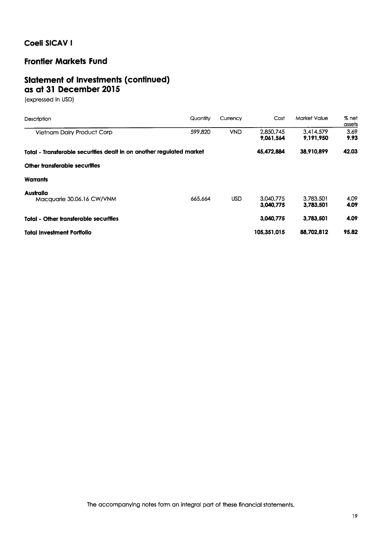#### **Frontier Markets Fund**

### **Statement of Investments (continued)** as at 31 December 2015

(expressed in USD)

| Description                                                          | Quantity | Currency   | Cost                   | Market Value           | % net<br>assets |
|----------------------------------------------------------------------|----------|------------|------------------------|------------------------|-----------------|
| Vietnam Dairy Product Corp                                           | 599,820  | <b>VND</b> | 2,850,745<br>9.061.564 | 3.414.579<br>9,191,950 | 3.69<br>9.93    |
| Total - Transferable securities dealt in on another regulated market |          |            | 45,472,884             | 38,910,899             | 42.03           |
| Other transferable securities                                        |          |            |                        |                        |                 |
| <b>Warrants</b>                                                      |          |            |                        |                        |                 |
| Australia<br>Macauarie 30.06.16 CW/VNM                               | 665,664  | <b>USD</b> | 3.040.775<br>3,040,775 | 3.783.501<br>3,783,501 | 4.09<br>4.09    |
| <b>Total - Other transferable securities</b>                         |          |            | 3.040.775              | 3.783.501              | 4.09            |
| <b>Total Investment Portfolio</b>                                    |          |            | 105,351,015            | 88,702,812             | 95.82           |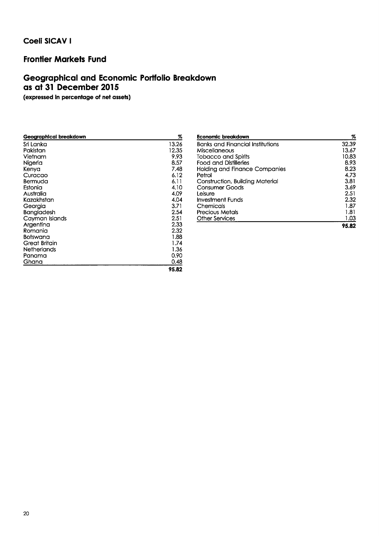#### **Frontier Markets Fund**

## Geographical and Economic Portfolio Breakdown as at 31 December 2015

(expressed in percentage of net assets)

| <u>Geographical br</u> eakdown | %     |
|--------------------------------|-------|
| Sri Lanka                      | 13.26 |
| Pakistan                       | 12.35 |
| Vietnam                        | 9.93  |
| Nigeria                        | 8.57  |
| Kenya                          | 7.48  |
| Curacao                        | 6.12  |
| Bermuda                        | 6.11  |
| Estonia                        | 4.10  |
| Australia                      | 4.09  |
| Kazakhstan                     | 4.04  |
| Georgia                        | 3.71  |
| <b>Bangladesh</b>              | 2.54  |
| Cayman Islands                 | 2.51  |
| Argentina                      | 2.33  |
| Romania                        | 2.32  |
| <b>Botswana</b>                | 1.88  |
| Great Britain                  | 1.74  |
| Netherlands                    | 1.36  |
| Panama                         | 0.90  |
| Ghana                          | 0.48  |
|                                | 95.82 |
|                                |       |

| Economic breakdown                      | %     |
|-----------------------------------------|-------|
| <b>Banks and Financial Institutions</b> | 32.39 |
| Miscellaneous                           | 13.67 |
| <b>Tobacco and Spirits</b>              | 10.83 |
| <b>Food and Distilleries</b>            | 8.93  |
| <b>Holding and Finance Companies</b>    | 8.23  |
| Petrol                                  | 4.73  |
| Construction, Building Material         | 3.81  |
| Consumer Goods                          | 3.69  |
| Leisure                                 | 2.51  |
| Investment Funds                        | 2.32  |
| Chemicals                               | 1.87  |
| <b>Precious Metals</b>                  | 1.81  |
| <b>Other Services</b>                   | 1.03  |
|                                         | 95.82 |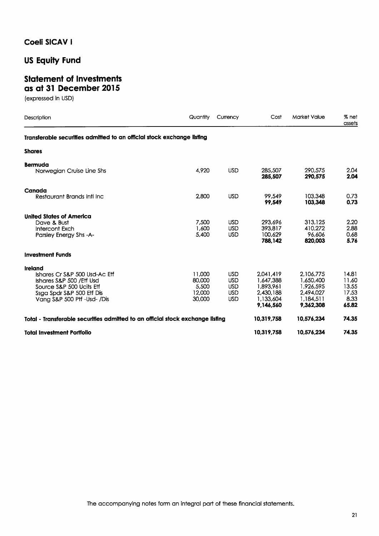**US Equity Fund** 

#### **Statement of Investments** as at 31 December 2015

(expressed in USD)

| Description                                                                    | Quantity        | Currency                 | Cost                          | <b>Market Value</b>          | % net<br>assets      |
|--------------------------------------------------------------------------------|-----------------|--------------------------|-------------------------------|------------------------------|----------------------|
| Transferable securities admitted to an official stock exchange listing         |                 |                          |                               |                              |                      |
| <b>Shares</b>                                                                  |                 |                          |                               |                              |                      |
| <b>Bermuda</b>                                                                 |                 |                          |                               |                              |                      |
| Norwegian Cruise Line Shs                                                      | 4,920           | <b>USD</b>               | 285,507<br>285.507            | 290.575<br>290.575           | 2.04<br>2.04         |
| Canada                                                                         |                 |                          |                               |                              |                      |
| Restaurant Brands Inti Inc                                                     | 2,800           | <b>USD</b>               | 99.549<br>99.549              | 103,348<br>103.348           | 0.73<br>0.73         |
| <b>United States of America</b>                                                |                 |                          |                               |                              |                      |
| Dave & Bust                                                                    | 7,500           | <b>USD</b>               | 293,696                       | 313,125                      | 2.20                 |
| Intercont Exch<br>Parsley Energy Shs-A-                                        | 1,600<br>5,400  | <b>USD</b><br><b>USD</b> | 393.817<br>100,629<br>788,142 | 410.272<br>96,606<br>820,003 | 2.88<br>0.68<br>5.76 |
| <b>Investment Funds</b>                                                        |                 |                          |                               |                              |                      |
| Ireland                                                                        |                 |                          |                               |                              |                      |
| Ishares Cr S&P 500 Usd-Ac Eff                                                  | 11,000          | <b>USD</b>               | 2,041,419                     | 2,106,775                    | 14.81                |
| Ishares S&P 500 / Etf Usd                                                      | 80,000          | <b>USD</b>               | 1,647,388                     | 1,650,400                    | 11.60                |
| Source S&P 500 Ucits Eff<br>Ssga Spdr S&P 500 Etf Dis                          | 5.500<br>12.000 | <b>USD</b><br><b>USD</b> | 1,893,961<br>2,430,188        | 1.926.595<br>2,494,027       | 13.55<br>17.53       |
| Vana S&P 500 Ptf -Usd- /Dis                                                    | 30,000          | <b>USD</b>               | 1.133.604                     | 1,184,511                    | 8.33                 |
|                                                                                |                 |                          | 9.146.560                     | 9.362.308                    | 65.82                |
| Total - Transferable securities admitted to an official stock exchange listing |                 |                          | 10,319,758                    | 10.576.234                   | 74.35                |
| <b>Total Investment Portfolio</b>                                              |                 |                          | 10,319,758                    | 10,576,234                   | 74.35                |

The accompanying notes form an integral part of these financial statements.